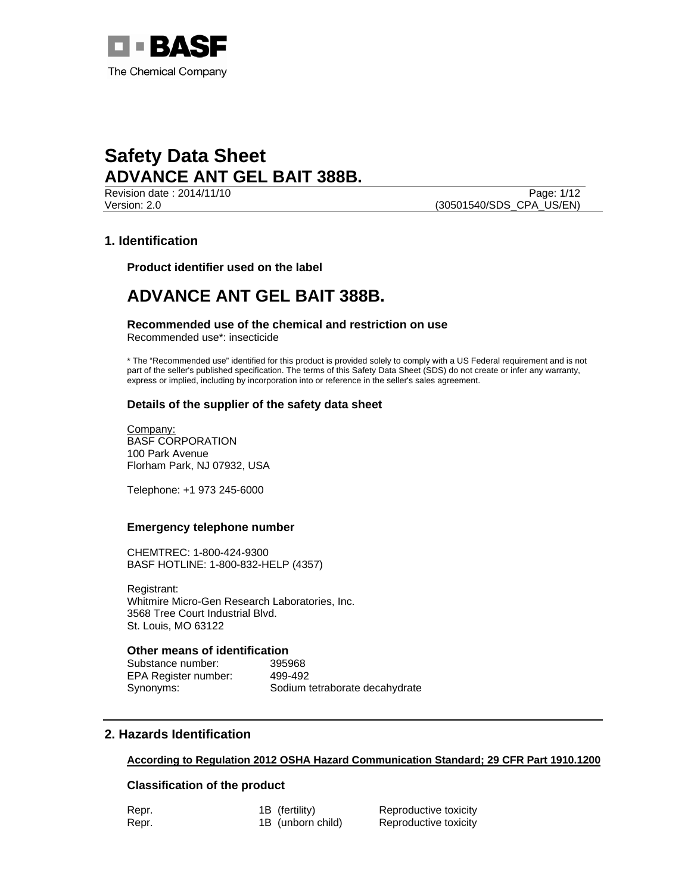

**Revision date : 2014/11/10** Page: 1/12 Version: 2.0 (30501540/SDS\_CPA\_US/EN)

## **1. Identification**

**Product identifier used on the label** 

## **ADVANCE ANT GEL BAIT 388B.**

**Recommended use of the chemical and restriction on use**  Recommended use\*: insecticide

\* The "Recommended use" identified for this product is provided solely to comply with a US Federal requirement and is not part of the seller's published specification. The terms of this Safety Data Sheet (SDS) do not create or infer any warranty, express or implied, including by incorporation into or reference in the seller's sales agreement.

### **Details of the supplier of the safety data sheet**

Company: BASF CORPORATION 100 Park Avenue Florham Park, NJ 07932, USA

Telephone: +1 973 245-6000

#### **Emergency telephone number**

CHEMTREC: 1-800-424-9300 BASF HOTLINE: 1-800-832-HELP (4357)

Registrant: Whitmire Micro-Gen Research Laboratories, Inc. 3568 Tree Court Industrial Blvd. St. Louis, MO 63122

## **Other means of identification**

Substance number: 395968 EPA Register number: 499-492

Synonyms: Sodium tetraborate decahydrate

## **2. Hazards Identification**

**According to Regulation 2012 OSHA Hazard Communication Standard; 29 CFR Part 1910.1200**

#### **Classification of the product**

| Repr. | 1B (fertility)    | Reproductive toxicity |
|-------|-------------------|-----------------------|
| Repr. | 1B (unborn child) | Reproductive toxicity |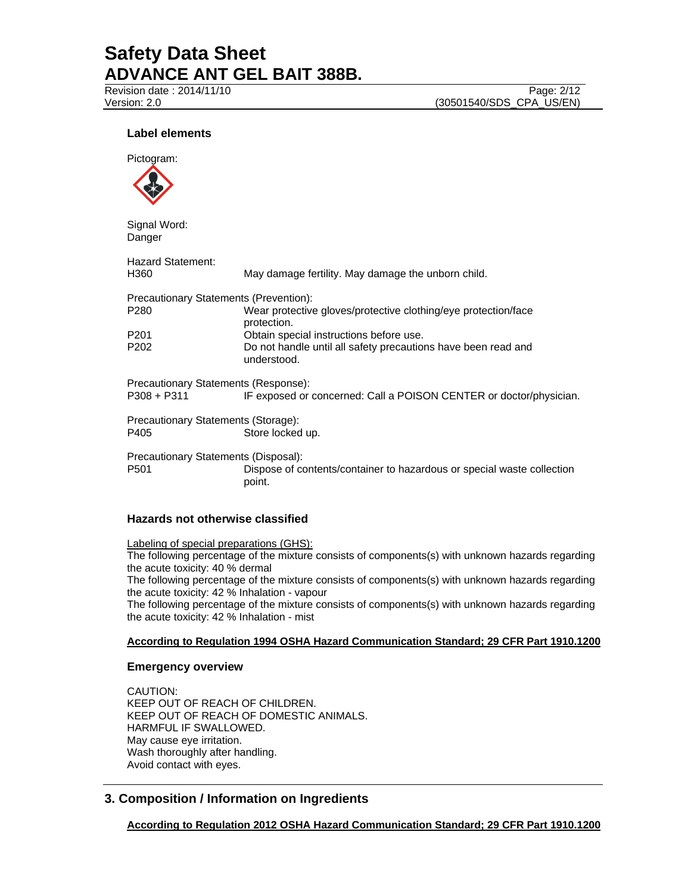Revision date : 2014/11/10 Page: 2/12 Version: 2.0 (30501540/SDS\_CPA\_US/EN)

## **Label elements**



Signal Word: Danger

| <b>Hazard Statement:</b><br>H360       | May damage fertility. May damage the unborn child.                               |  |  |  |
|----------------------------------------|----------------------------------------------------------------------------------|--|--|--|
| Precautionary Statements (Prevention): |                                                                                  |  |  |  |
| P280                                   | Wear protective gloves/protective clothing/eye protection/face<br>protection.    |  |  |  |
| P201                                   | Obtain special instructions before use.                                          |  |  |  |
| P202                                   | Do not handle until all safety precautions have been read and<br>understood.     |  |  |  |
| Precautionary Statements (Response):   |                                                                                  |  |  |  |
| P308 + P311                            | IF exposed or concerned: Call a POISON CENTER or doctor/physician.               |  |  |  |
| Precautionary Statements (Storage):    |                                                                                  |  |  |  |
| P405                                   | Store locked up.                                                                 |  |  |  |
| Precautionary Statements (Disposal):   |                                                                                  |  |  |  |
| P501                                   | Dispose of contents/container to hazardous or special waste collection<br>point. |  |  |  |

### **Hazards not otherwise classified**

Labeling of special preparations (GHS):

The following percentage of the mixture consists of components(s) with unknown hazards regarding the acute toxicity: 40 % dermal

The following percentage of the mixture consists of components(s) with unknown hazards regarding the acute toxicity: 42 % Inhalation - vapour

The following percentage of the mixture consists of components(s) with unknown hazards regarding the acute toxicity: 42 % Inhalation - mist

#### **According to Regulation 1994 OSHA Hazard Communication Standard; 29 CFR Part 1910.1200**

### **Emergency overview**

CAUTION: KEEP OUT OF REACH OF CHILDREN. KEEP OUT OF REACH OF DOMESTIC ANIMALS. HARMFUL IF SWALLOWED. May cause eye irritation. Wash thoroughly after handling. Avoid contact with eyes.

## **3. Composition / Information on Ingredients**

**According to Regulation 2012 OSHA Hazard Communication Standard; 29 CFR Part 1910.1200**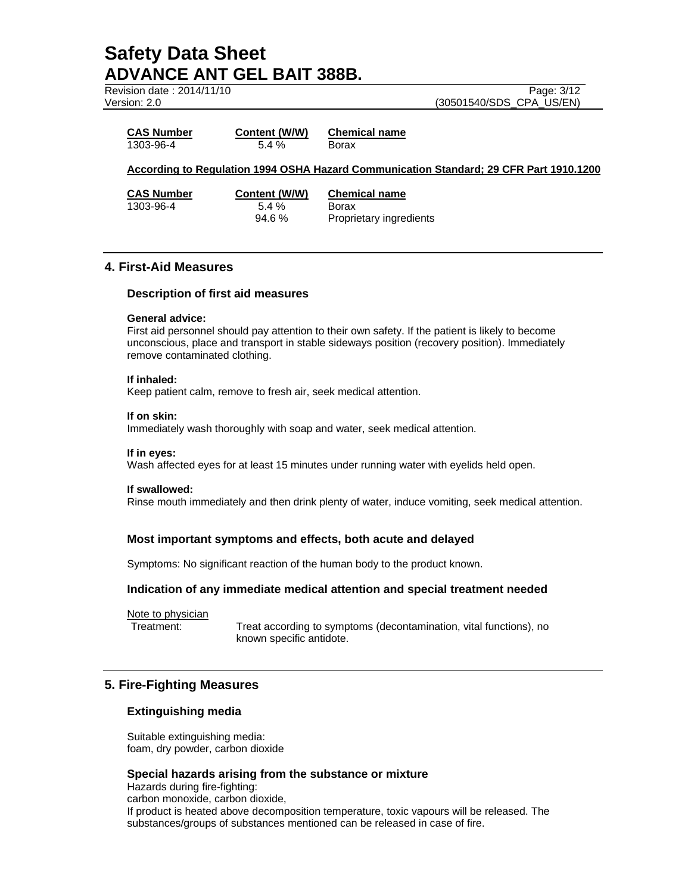Revision date:  $2014/11/10$ Version: 2.0

| Page: 3/12               |  |
|--------------------------|--|
| (30501540/SDS_CPA_US/EN) |  |

| <b>CAS Number</b> | Content (W/W) | <b>Chemical name</b> |
|-------------------|---------------|----------------------|
| 1303-96-4         | 5.4 %         | Borax                |

#### **According to Regulation 1994 OSHA Hazard Communication Standard; 29 CFR Part 1910.1200**

1303-96-4 5.4 % Borax

**CAS Number Content (W/W) Chemical name** 94.6 % Proprietary ingredients

## **4. First-Aid Measures**

#### **Description of first aid measures**

#### **General advice:**

First aid personnel should pay attention to their own safety. If the patient is likely to become unconscious, place and transport in stable sideways position (recovery position). Immediately remove contaminated clothing.

#### **If inhaled:**

Keep patient calm, remove to fresh air, seek medical attention.

#### **If on skin:**

Immediately wash thoroughly with soap and water, seek medical attention.

#### **If in eyes:**

Wash affected eyes for at least 15 minutes under running water with eyelids held open.

#### **If swallowed:**

Rinse mouth immediately and then drink plenty of water, induce vomiting, seek medical attention.

## **Most important symptoms and effects, both acute and delayed**

Symptoms: No significant reaction of the human body to the product known.

### **Indication of any immediate medical attention and special treatment needed**

Note to physician<br>Treatment:

Treat according to symptoms (decontamination, vital functions), no known specific antidote.

## **5. Fire-Fighting Measures**

### **Extinguishing media**

Suitable extinguishing media: foam, dry powder, carbon dioxide

### **Special hazards arising from the substance or mixture**

Hazards during fire-fighting: carbon monoxide, carbon dioxide, If product is heated above decomposition temperature, toxic vapours will be released. The substances/groups of substances mentioned can be released in case of fire.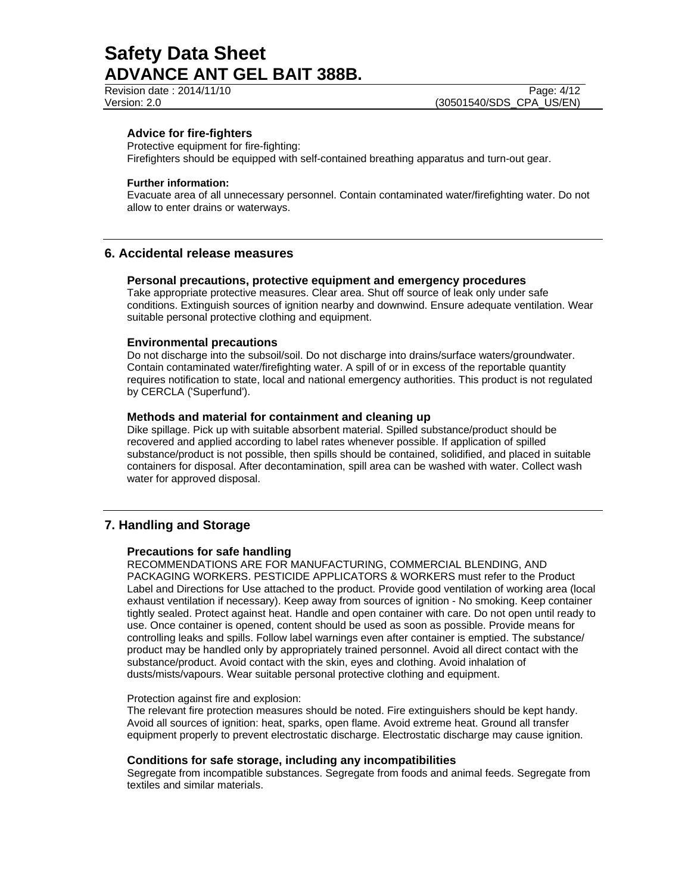Revision date : 2014/11/10 Page: 4/12 Version: 2.0 (30501540/SDS\_CPA\_US/EN)

#### **Advice for fire-fighters**

Protective equipment for fire-fighting:

Firefighters should be equipped with self-contained breathing apparatus and turn-out gear.

#### **Further information:**

Evacuate area of all unnecessary personnel. Contain contaminated water/firefighting water. Do not allow to enter drains or waterways.

### **6. Accidental release measures**

#### **Personal precautions, protective equipment and emergency procedures**

Take appropriate protective measures. Clear area. Shut off source of leak only under safe conditions. Extinguish sources of ignition nearby and downwind. Ensure adequate ventilation. Wear suitable personal protective clothing and equipment.

#### **Environmental precautions**

Do not discharge into the subsoil/soil. Do not discharge into drains/surface waters/groundwater. Contain contaminated water/firefighting water. A spill of or in excess of the reportable quantity requires notification to state, local and national emergency authorities. This product is not regulated by CERCLA ('Superfund').

#### **Methods and material for containment and cleaning up**

Dike spillage. Pick up with suitable absorbent material. Spilled substance/product should be recovered and applied according to label rates whenever possible. If application of spilled substance/product is not possible, then spills should be contained, solidified, and placed in suitable containers for disposal. After decontamination, spill area can be washed with water. Collect wash water for approved disposal.

### **7. Handling and Storage**

#### **Precautions for safe handling**

RECOMMENDATIONS ARE FOR MANUFACTURING, COMMERCIAL BLENDING, AND PACKAGING WORKERS. PESTICIDE APPLICATORS & WORKERS must refer to the Product Label and Directions for Use attached to the product. Provide good ventilation of working area (local exhaust ventilation if necessary). Keep away from sources of ignition - No smoking. Keep container tightly sealed. Protect against heat. Handle and open container with care. Do not open until ready to use. Once container is opened, content should be used as soon as possible. Provide means for controlling leaks and spills. Follow label warnings even after container is emptied. The substance/ product may be handled only by appropriately trained personnel. Avoid all direct contact with the substance/product. Avoid contact with the skin, eyes and clothing. Avoid inhalation of dusts/mists/vapours. Wear suitable personal protective clothing and equipment.

#### Protection against fire and explosion:

The relevant fire protection measures should be noted. Fire extinguishers should be kept handy. Avoid all sources of ignition: heat, sparks, open flame. Avoid extreme heat. Ground all transfer equipment properly to prevent electrostatic discharge. Electrostatic discharge may cause ignition.

#### **Conditions for safe storage, including any incompatibilities**

Segregate from incompatible substances. Segregate from foods and animal feeds. Segregate from textiles and similar materials.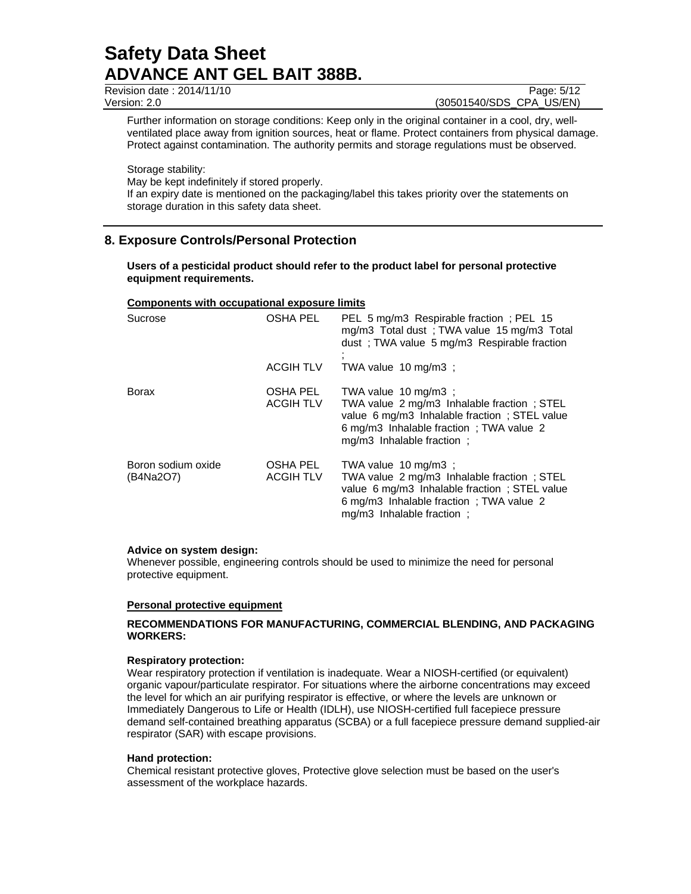Revision date : 2014/11/10 Page: 5/12

Version: 2.0 (30501540/SDS\_CPA\_US/EN)

Further information on storage conditions: Keep only in the original container in a cool, dry, wellventilated place away from ignition sources, heat or flame. Protect containers from physical damage. Protect against contamination. The authority permits and storage regulations must be observed.

Storage stability:

May be kept indefinitely if stored properly.

If an expiry date is mentioned on the packaging/label this takes priority over the statements on storage duration in this safety data sheet.

## **8. Exposure Controls/Personal Protection**

**Users of a pesticidal product should refer to the product label for personal protective equipment requirements.** 

#### **Components with occupational exposure limits**

| Sucrose                         | OSHA PEL                     | PEL 5 mg/m3 Respirable fraction; PEL 15<br>mg/m3 Total dust; TWA value 15 mg/m3 Total<br>dust; TWA value 5 mg/m3 Respirable fraction                                                        |
|---------------------------------|------------------------------|---------------------------------------------------------------------------------------------------------------------------------------------------------------------------------------------|
|                                 | <b>ACGIH TLV</b>             | TWA value 10 mg/m3 :                                                                                                                                                                        |
| <b>Borax</b>                    | OSHA PEL<br><b>ACGIH TLV</b> | TWA value 10 mg/m3 :<br>TWA value 2 mg/m3 Inhalable fraction; STEL<br>value 6 mg/m3 Inhalable fraction; STEL value<br>6 mg/m3 Inhalable fraction ; TWA value 2<br>mg/m3 Inhalable fraction: |
| Boron sodium oxide<br>(B4Na2O7) | OSHA PEL<br><b>ACGIH TLV</b> | TWA value 10 mg/m3 :<br>TWA value 2 mg/m3 Inhalable fraction; STEL<br>value 6 mg/m3 Inhalable fraction; STEL value<br>6 mg/m3 Inhalable fraction; TWA value 2<br>mg/m3 Inhalable fraction:  |

#### **Advice on system design:**

Whenever possible, engineering controls should be used to minimize the need for personal protective equipment.

#### **Personal protective equipment**

#### **RECOMMENDATIONS FOR MANUFACTURING, COMMERCIAL BLENDING, AND PACKAGING WORKERS:**

#### **Respiratory protection:**

Wear respiratory protection if ventilation is inadequate. Wear a NIOSH-certified (or equivalent) organic vapour/particulate respirator. For situations where the airborne concentrations may exceed the level for which an air purifying respirator is effective, or where the levels are unknown or Immediately Dangerous to Life or Health (IDLH), use NIOSH-certified full facepiece pressure demand self-contained breathing apparatus (SCBA) or a full facepiece pressure demand supplied-air respirator (SAR) with escape provisions.

#### **Hand protection:**

Chemical resistant protective gloves, Protective glove selection must be based on the user's assessment of the workplace hazards.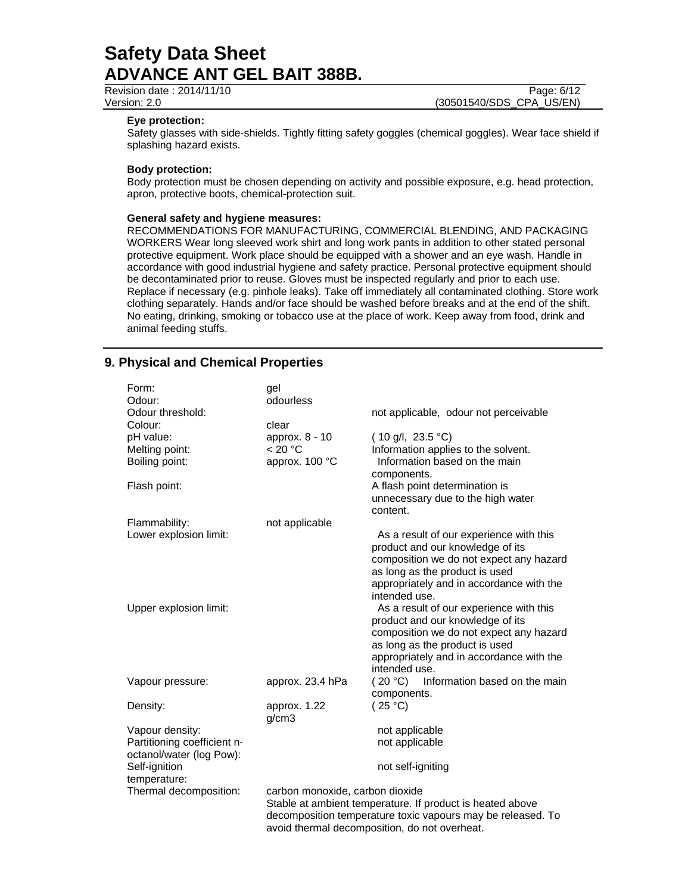Revision date : 2014/11/10 **Page: 6/12** Version: 2.0 (30501540/SDS\_CPA\_US/EN)

#### **Eye protection:**

Safety glasses with side-shields. Tightly fitting safety goggles (chemical goggles). Wear face shield if splashing hazard exists.

#### **Body protection:**

Body protection must be chosen depending on activity and possible exposure, e.g. head protection, apron, protective boots, chemical-protection suit.

#### **General safety and hygiene measures:**

RECOMMENDATIONS FOR MANUFACTURING, COMMERCIAL BLENDING, AND PACKAGING WORKERS Wear long sleeved work shirt and long work pants in addition to other stated personal protective equipment. Work place should be equipped with a shower and an eye wash. Handle in accordance with good industrial hygiene and safety practice. Personal protective equipment should be decontaminated prior to reuse. Gloves must be inspected regularly and prior to each use. Replace if necessary (e.g. pinhole leaks). Take off immediately all contaminated clothing. Store work clothing separately. Hands and/or face should be washed before breaks and at the end of the shift. No eating, drinking, smoking or tobacco use at the place of work. Keep away from food, drink and animal feeding stuffs.

## **9. Physical and Chemical Properties**

| Form:<br>Odour:                                         | gel<br>odourless                                                                                                         |                                                                             |  |
|---------------------------------------------------------|--------------------------------------------------------------------------------------------------------------------------|-----------------------------------------------------------------------------|--|
| Odour threshold:                                        |                                                                                                                          | not applicable, odour not perceivable                                       |  |
| Colour:<br>pH value:                                    | clear<br>approx. 8 - 10                                                                                                  | $(10 \text{ g/l}, 23.5 \text{ °C})$                                         |  |
| Melting point:                                          | < 20 °C                                                                                                                  | Information applies to the solvent.                                         |  |
| Boiling point:                                          | approx. 100 °C                                                                                                           | Information based on the main<br>components.                                |  |
| Flash point:                                            |                                                                                                                          | A flash point determination is                                              |  |
|                                                         |                                                                                                                          | unnecessary due to the high water<br>content.                               |  |
| Flammability:                                           | not applicable                                                                                                           |                                                                             |  |
| Lower explosion limit:                                  |                                                                                                                          | As a result of our experience with this<br>product and our knowledge of its |  |
|                                                         |                                                                                                                          | composition we do not expect any hazard                                     |  |
|                                                         |                                                                                                                          | as long as the product is used<br>appropriately and in accordance with the  |  |
|                                                         |                                                                                                                          | intended use.                                                               |  |
| Upper explosion limit:                                  |                                                                                                                          | As a result of our experience with this                                     |  |
|                                                         |                                                                                                                          | product and our knowledge of its<br>composition we do not expect any hazard |  |
|                                                         |                                                                                                                          | as long as the product is used                                              |  |
|                                                         |                                                                                                                          | appropriately and in accordance with the<br>intended use.                   |  |
| Vapour pressure:                                        | approx. 23.4 hPa                                                                                                         | (20 °C)<br>Information based on the main                                    |  |
|                                                         |                                                                                                                          | components.                                                                 |  |
| Density:                                                | approx. 1.22<br>g/cm3                                                                                                    | (25 °C)                                                                     |  |
| Vapour density:                                         |                                                                                                                          | not applicable                                                              |  |
| Partitioning coefficient n-<br>octanol/water (log Pow): |                                                                                                                          | not applicable                                                              |  |
| Self-ignition<br>temperature:                           |                                                                                                                          | not self-igniting                                                           |  |
| Thermal decomposition:                                  | carbon monoxide, carbon dioxide                                                                                          |                                                                             |  |
|                                                         | Stable at ambient temperature. If product is heated above<br>decomposition temperature toxic vapours may be released. To |                                                                             |  |
|                                                         |                                                                                                                          | avoid thermal decomposition, do not overheat.                               |  |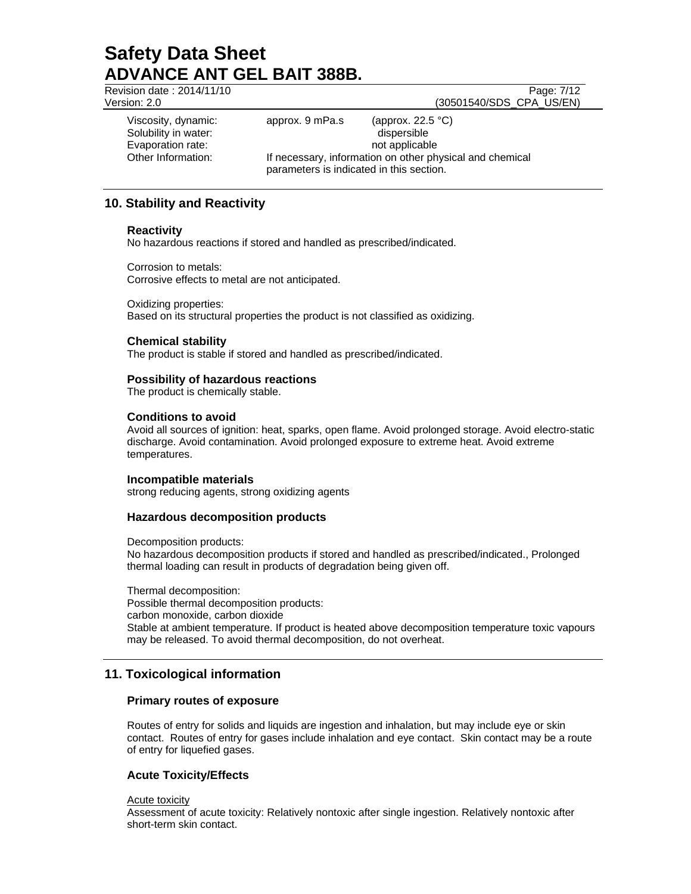Revision date : 2014/11/10 Page: 7/12 Version: 2.0 (30501540/SDS\_CPA\_US/EN) Viscosity, dynamic: approx. 9 mPa.s (approx. 22.5 °C) Solubility in water:  $\qquad \qquad$  dispersible Evaporation rate: not applicable Other Information: If necessary, information on other physical and chemical parameters is indicated in this section.

## **10. Stability and Reactivity**

#### **Reactivity**

No hazardous reactions if stored and handled as prescribed/indicated.

Corrosion to metals: Corrosive effects to metal are not anticipated.

Oxidizing properties: Based on its structural properties the product is not classified as oxidizing.

#### **Chemical stability**

The product is stable if stored and handled as prescribed/indicated.

#### **Possibility of hazardous reactions**

The product is chemically stable.

#### **Conditions to avoid**

Avoid all sources of ignition: heat, sparks, open flame. Avoid prolonged storage. Avoid electro-static discharge. Avoid contamination. Avoid prolonged exposure to extreme heat. Avoid extreme temperatures.

#### **Incompatible materials**

strong reducing agents, strong oxidizing agents

#### **Hazardous decomposition products**

Decomposition products:

No hazardous decomposition products if stored and handled as prescribed/indicated., Prolonged thermal loading can result in products of degradation being given off.

Thermal decomposition: Possible thermal decomposition products: carbon monoxide, carbon dioxide Stable at ambient temperature. If product is heated above decomposition temperature toxic vapours may be released. To avoid thermal decomposition, do not overheat.

## **11. Toxicological information**

#### **Primary routes of exposure**

Routes of entry for solids and liquids are ingestion and inhalation, but may include eye or skin contact. Routes of entry for gases include inhalation and eye contact. Skin contact may be a route of entry for liquefied gases.

### **Acute Toxicity/Effects**

Acute toxicity

Assessment of acute toxicity: Relatively nontoxic after single ingestion. Relatively nontoxic after short-term skin contact.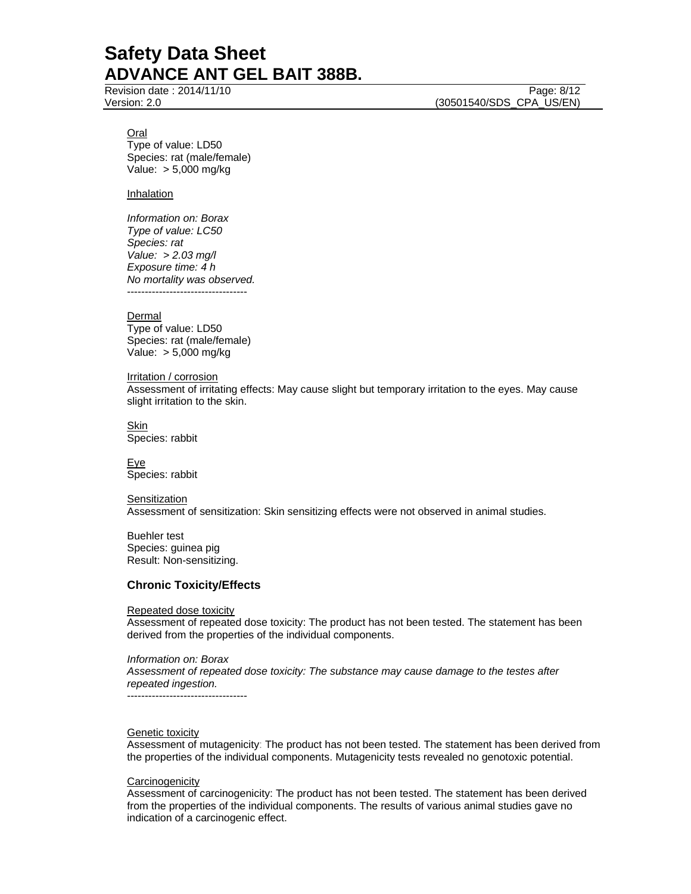Revision date : 2014/11/10 Page: 8/12

Version: 2.0 (30501540/SDS\_CPA\_US/EN)

#### Oral

Type of value: LD50 Species: rat (male/female) Value: > 5,000 mg/kg

#### Inhalation

*Information on: Borax Type of value: LC50 Species: rat Value: > 2.03 mg/l Exposure time: 4 h No mortality was observed.*  ----------------------------------

Dermal Type of value: LD50 Species: rat (male/female) Value: > 5,000 mg/kg

Irritation / corrosion Assessment of irritating effects: May cause slight but temporary irritation to the eyes. May cause slight irritation to the skin.

Skin Species: rabbit

**Eye** Species: rabbit

Sensitization Assessment of sensitization: Skin sensitizing effects were not observed in animal studies.

Buehler test Species: guinea pig Result: Non-sensitizing.

#### **Chronic Toxicity/Effects**

Repeated dose toxicity

Assessment of repeated dose toxicity: The product has not been tested. The statement has been derived from the properties of the individual components.

*Information on: Borax Assessment of repeated dose toxicity: The substance may cause damage to the testes after repeated ingestion.*  ----------------------------------

#### **Genetic toxicity**

Assessment of mutagenicity: The product has not been tested. The statement has been derived from the properties of the individual components. Mutagenicity tests revealed no genotoxic potential.

#### **Carcinogenicity**

Assessment of carcinogenicity: The product has not been tested. The statement has been derived from the properties of the individual components. The results of various animal studies gave no indication of a carcinogenic effect.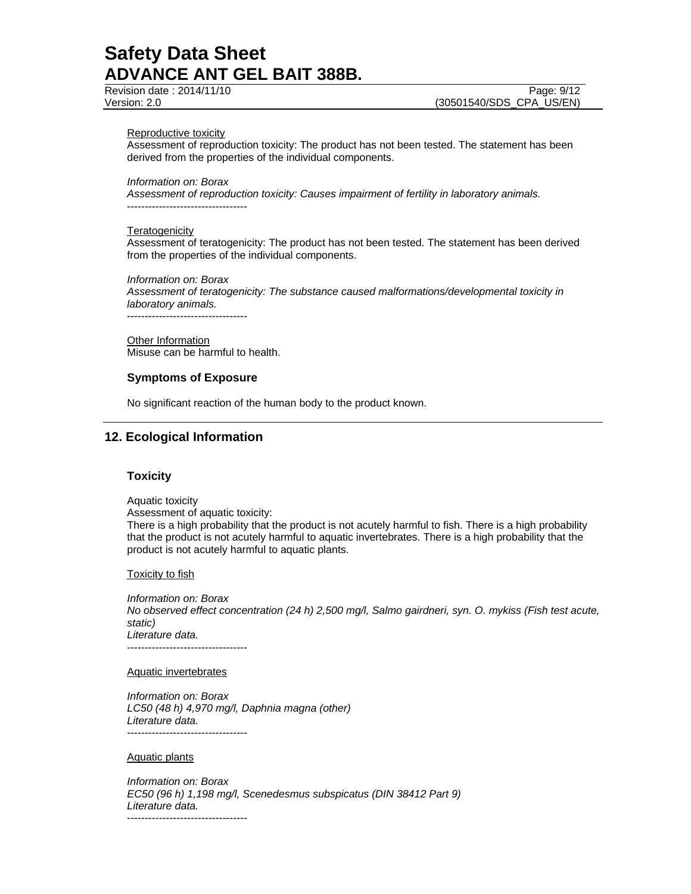Revision date : 2014/11/10 **Page: 9/12** 

Version: 2.0 (30501540/SDS\_CPA\_US/EN)

#### Reproductive toxicity

Assessment of reproduction toxicity: The product has not been tested. The statement has been derived from the properties of the individual components.

*Information on: Borax* 

*Assessment of reproduction toxicity: Causes impairment of fertility in laboratory animals.*  ----------------------------------

#### **Teratogenicity**

Assessment of teratogenicity: The product has not been tested. The statement has been derived from the properties of the individual components.

*Information on: Borax Assessment of teratogenicity: The substance caused malformations/developmental toxicity in laboratory animals.* 

----------------------------------

Other Information Misuse can be harmful to health.

### **Symptoms of Exposure**

No significant reaction of the human body to the product known.

## **12. Ecological Information**

#### **Toxicity**

Aquatic toxicity

Assessment of aquatic toxicity:

There is a high probability that the product is not acutely harmful to fish. There is a high probability that the product is not acutely harmful to aquatic invertebrates. There is a high probability that the product is not acutely harmful to aquatic plants.

**Toxicity to fish** 

*Information on: Borax No observed effect concentration (24 h) 2,500 mg/l, Salmo gairdneri, syn. O. mykiss (Fish test acute, static) Literature data.*  ----------------------------------

Aquatic invertebrates

*Information on: Borax LC50 (48 h) 4,970 mg/l, Daphnia magna (other) Literature data.*  ----------------------------------

Aquatic plants

*Information on: Borax EC50 (96 h) 1,198 mg/l, Scenedesmus subspicatus (DIN 38412 Part 9) Literature data.*  ----------------------------------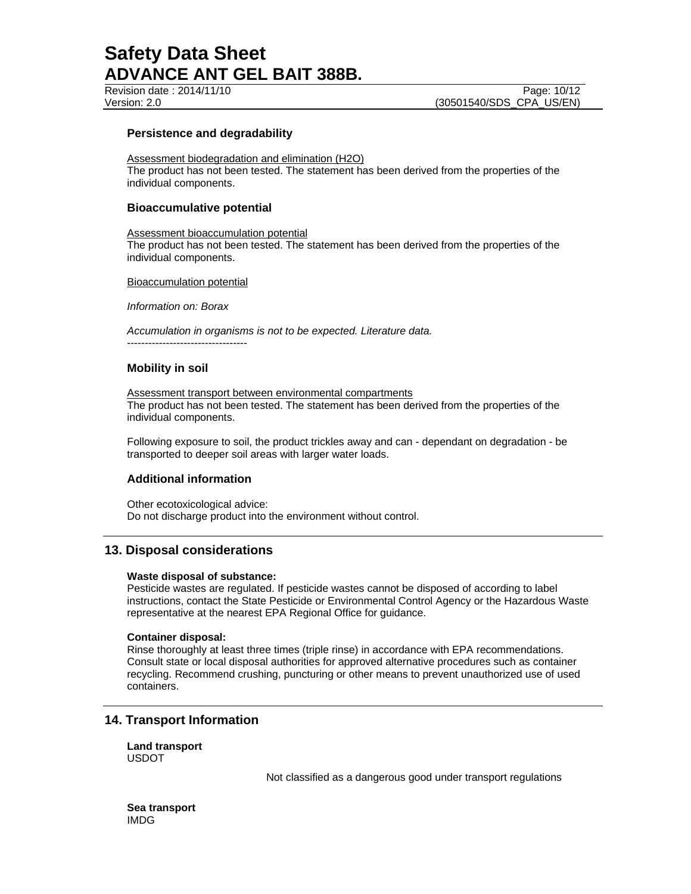#### **Persistence and degradability**

Assessment biodegradation and elimination (H2O) The product has not been tested. The statement has been derived from the properties of the individual components.

#### **Bioaccumulative potential**

Assessment bioaccumulation potential The product has not been tested. The statement has been derived from the properties of the individual components.

Bioaccumulation potential

*Information on: Borax* 

*Accumulation in organisms is not to be expected. Literature data.*  ----------------------------------

#### **Mobility in soil**

Assessment transport between environmental compartments The product has not been tested. The statement has been derived from the properties of the individual components.

Following exposure to soil, the product trickles away and can - dependant on degradation - be transported to deeper soil areas with larger water loads.

#### **Additional information**

Other ecotoxicological advice: Do not discharge product into the environment without control.

### **13. Disposal considerations**

#### **Waste disposal of substance:**

Pesticide wastes are regulated. If pesticide wastes cannot be disposed of according to label instructions, contact the State Pesticide or Environmental Control Agency or the Hazardous Waste representative at the nearest EPA Regional Office for guidance.

#### **Container disposal:**

Rinse thoroughly at least three times (triple rinse) in accordance with EPA recommendations. Consult state or local disposal authorities for approved alternative procedures such as container recycling. Recommend crushing, puncturing or other means to prevent unauthorized use of used containers.

## **14. Transport Information**

**Land transport**  USDOT

Not classified as a dangerous good under transport regulations

**Sea transport**  IMDG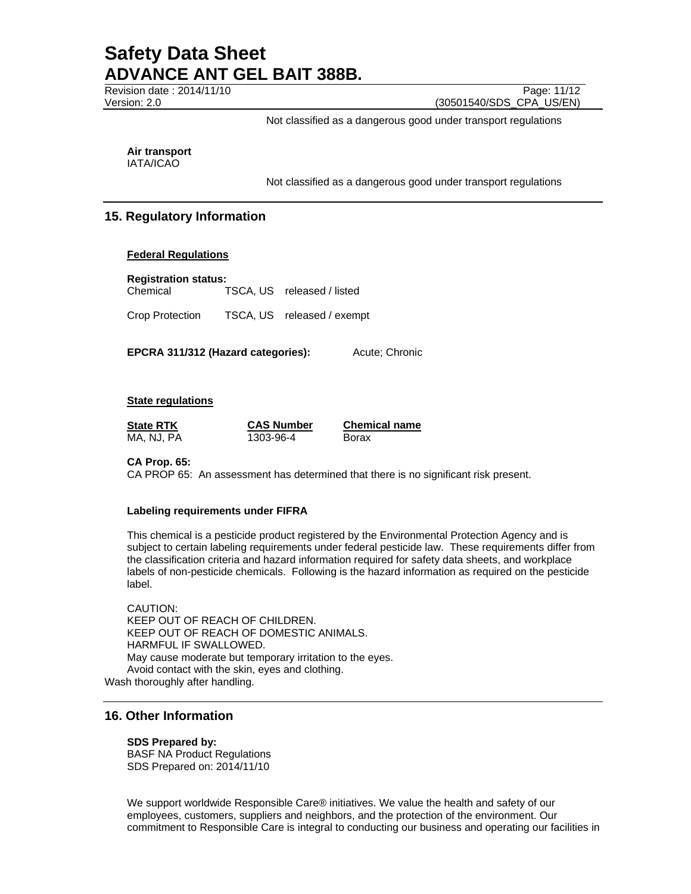Revision date : 2014/11/10 Page: 11/12 Version: 2.0 (30501540/SDS\_CPA\_US/EN)

Not classified as a dangerous good under transport regulations

**Air transport** 

IATA/ICAO

Not classified as a dangerous good under transport regulations

## **15. Regulatory Information**

#### **Federal Regulations**

**Registration status:**  Chemical TSCA, US released / listed

Crop Protection TSCA, US released / exempt

**EPCRA 311/312 (Hazard categories):** Acute; Chronic

**State regulations**

MA, NJ, PA 1303-96-4 Borax

**State RTK CAS Number Chemical name**

#### **CA Prop. 65:**

CA PROP 65: An assessment has determined that there is no significant risk present.

#### **Labeling requirements under FIFRA**

This chemical is a pesticide product registered by the Environmental Protection Agency and is subject to certain labeling requirements under federal pesticide law. These requirements differ from the classification criteria and hazard information required for safety data sheets, and workplace labels of non-pesticide chemicals. Following is the hazard information as required on the pesticide label.

CAUTION: KEEP OUT OF REACH OF CHILDREN. KEEP OUT OF REACH OF DOMESTIC ANIMALS. HARMFUL IF SWALLOWED. May cause moderate but temporary irritation to the eyes. Avoid contact with the skin, eyes and clothing. Wash thoroughly after handling.

## **16. Other Information**

#### **SDS Prepared by:**

BASF NA Product Regulations SDS Prepared on: 2014/11/10

We support worldwide Responsible Care® initiatives. We value the health and safety of our employees, customers, suppliers and neighbors, and the protection of the environment. Our commitment to Responsible Care is integral to conducting our business and operating our facilities in